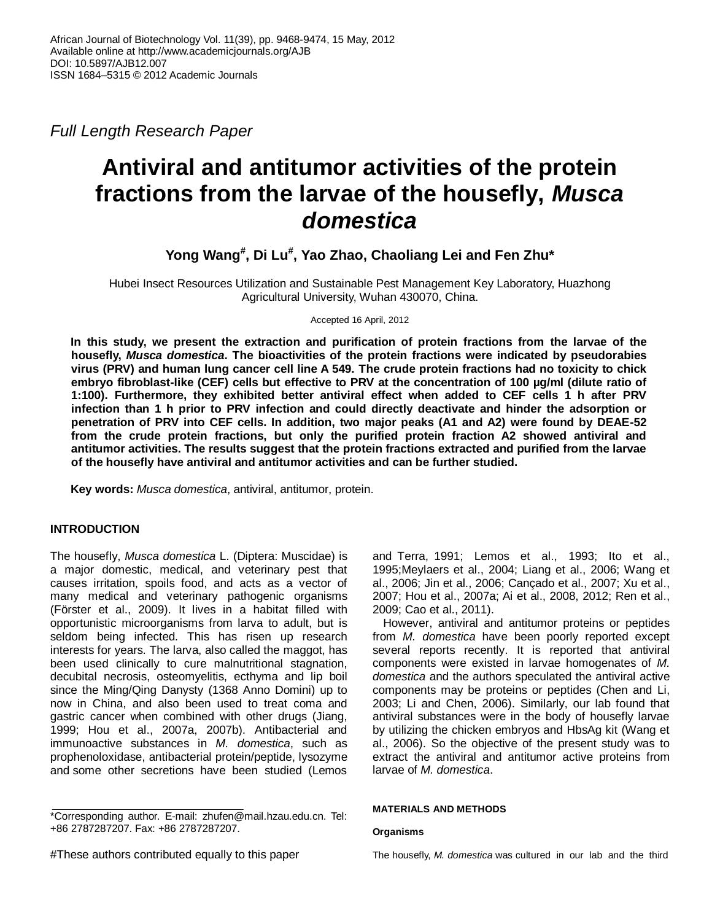*Full Length Research Paper*

# **Antiviral and antitumor activities of the protein fractions from the larvae of the housefly,** *Musca domestica*

**Yong Wang# , Di Lu# , Yao Zhao, Chaoliang Lei and Fen Zhu\***

Hubei Insect Resources Utilization and Sustainable Pest Management Key Laboratory, Huazhong Agricultural University, Wuhan 430070, China.

Accepted 16 April, 2012

**In this study, we present the extraction and purification of protein fractions from the larvae of the housefly,** *Musca domestica***. The bioactivities of the protein fractions were indicated by pseudorabies virus (PRV) and human lung cancer cell line A 549. The crude protein fractions had no toxicity to chick embryo fibroblast-like (CEF) cells but effective to PRV at the concentration of 100 µg/ml (dilute ratio of 1:100). Furthermore, they exhibited better antiviral effect when added to CEF cells 1 h after PRV infection than 1 h prior to PRV infection and could directly deactivate and hinder the adsorption or penetration of PRV into CEF cells. In addition, two major peaks (A1 and A2) were found by DEAE-52 from the crude protein fractions, but only the purified protein fraction A2 showed antiviral and antitumor activities. The results suggest that the protein fractions extracted and purified from the larvae of the housefly have antiviral and antitumor activities and can be further studied.**

**Key words:** *Musca domestica*, antiviral, antitumor, protein.

# **INTRODUCTION**

The housefly, *Musca domestica* L. (Diptera: Muscidae) is a major domestic, medical, and veterinary pest that causes irritation, spoils food, and acts as a vector of many medical and veterinary pathogenic organisms (Förster et al., 2009). It lives in a habitat filled with opportunistic microorganisms from larva to adult, but is seldom being infected. This has risen up research interests for years. The larva, also called the maggot, has been used clinically to cure malnutritional stagnation, decubital necrosis, osteomyelitis, ecthyma and lip boil since the Ming/Qing Danysty (1368 Anno Domini) up to now in China, and also been used to treat coma and gastric cancer when combined with other drugs (Jiang, 1999; Hou et al., 2007a, 2007b). Antibacterial and immunoactive substances in *M. domestica*, such as prophenoloxidase, antibacterial protein/peptide, lysozyme and some other secretions have been studied (Lemos

\*Corresponding author. E-mail: zhufen@mail.hzau.edu.cn. Tel: +86 2787287207. Fax: +86 2787287207.

and Terra, 1991; Lemos et al., 1993; Ito et al., 1995;Meylaers et al., 2004; Liang et al., 2006; Wang et al., 2006; Jin et al., 2006; Cançado et al., 2007; Xu et al., 2007; Hou et al., 2007a; Ai et al., 2008, 2012; Ren et al., 2009; Cao et al., 2011).

However, antiviral and antitumor proteins or peptides from *M. domestica* have been poorly reported except several reports recently. It is reported that antiviral components were existed in larvae homogenates of *M. domestica* and the authors speculated the antiviral active components may be proteins or peptides (Chen and Li, 2003; Li and Chen, 2006). Similarly, our lab found that antiviral substances were in the body of housefly larvae by utilizing the chicken embryos and HbsAg kit (Wang et al., 2006). So the objective of the present study was to extract the antiviral and antitumor active proteins from larvae of *M. domestica*.

## **MATERIALS AND METHODS**

## **Organisms**

<sup>#</sup>These authors contributed equally to this paper

The housefly, *M. domestica* was cultured in our lab and the third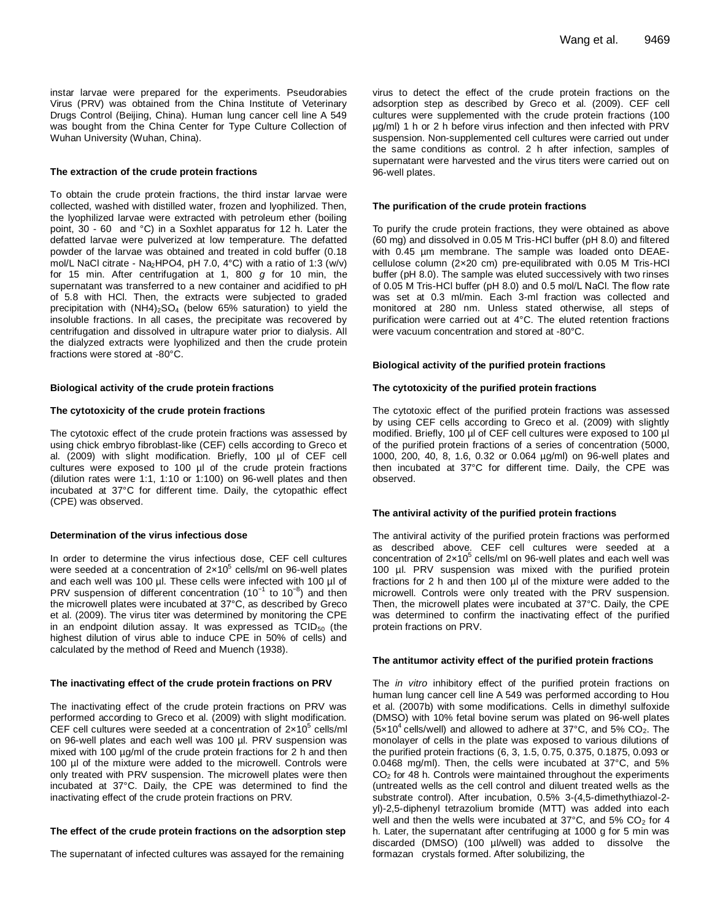instar larvae were prepared for the experiments. Pseudorabies Virus (PRV) was obtained from the China Institute of Veterinary Drugs Control (Beijing, China). Human lung cancer cell line A 549 was bought from the China Center for Type Culture Collection of Wuhan University (Wuhan, China).

#### **The extraction of the crude protein fractions**

To obtain the crude protein fractions, the third instar larvae were collected, washed with distilled water, frozen and lyophilized. Then, the lyophilized larvae were extracted with petroleum ether (boiling point, 30 - 60 and °C) in a Soxhlet apparatus for 12 h. Later the defatted larvae were pulverized at low temperature. The defatted powder of the larvae was obtained and treated in cold buffer (0.18 mol/L NaCl citrate - Na<sub>2</sub>HPO4, pH 7.0, 4°C) with a ratio of 1:3 (w/v) for 15 min. After centrifugation at 1, 800 *g* for 10 min, the supernatant was transferred to a new container and acidified to pH of 5.8 with HCl. Then, the extracts were subjected to graded precipitation with  $(NH4)_2SO_4$  (below 65% saturation) to yield the insoluble fractions. In all cases, the precipitate was recovered by centrifugation and dissolved in ultrapure water prior to dialysis. All the dialyzed extracts were lyophilized and then the crude protein fractions were stored at -80°C.

#### **Biological activity of the crude protein fractions**

#### **The cytotoxicity of the crude protein fractions**

The cytotoxic effect of the crude protein fractions was assessed by using chick embryo fibroblast-like (CEF) cells according to Greco et al. (2009) with slight modification. Briefly, 100 µl of CEF cell cultures were exposed to 100 µl of the crude protein fractions (dilution rates were 1:1, 1:10 or 1:100) on 96-well plates and then incubated at 37°C for different time. Daily, the cytopathic effect (CPE) was observed.

## **Determination of the virus infectious dose**

In order to determine the virus infectious dose, CEF cell cultures were seeded at a concentration of  $2\times10^5$  cells/ml on 96-well plates and each well was 100 µl. These cells were infected with 100 µl of PRV suspension of different concentration (10<sup>-1</sup> to 10<sup>-8</sup>) and then the microwell plates were incubated at 37°C, as described by Greco et al. (2009). The virus titer was determined by monitoring the CPE in an endpoint dilution assay. It was expressed as  $TCID_{50}$  (the highest dilution of virus able to induce CPE in 50% of cells) and calculated by the method of Reed and Muench (1938).

#### **The inactivating effect of the crude protein fractions on PRV**

The inactivating effect of the crude protein fractions on PRV was performed according to Greco et al. (2009) with slight modification. CEF cell cultures were seeded at a concentration of  $2\times10^5$  cells/ml on 96-well plates and each well was 100 µl. PRV suspension was mixed with 100  $\mu$ g/ml of the crude protein fractions for 2 h and then 100 µl of the mixture were added to the microwell. Controls were only treated with PRV suspension. The microwell plates were then incubated at 37°C. Daily, the CPE was determined to find the inactivating effect of the crude protein fractions on PRV.

#### **The effect of the crude protein fractions on the adsorption step**

The supernatant of infected cultures was assayed for the remaining

virus to detect the effect of the crude protein fractions on the adsorption step as described by Greco et al. (2009). CEF cell cultures were supplemented with the crude protein fractions (100 µg/ml) 1 h or 2 h before virus infection and then infected with PRV suspension. Non-supplemented cell cultures were carried out under the same conditions as control. 2 h after infection, samples of supernatant were harvested and the virus titers were carried out on 96-well plates.

#### **The purification of the crude protein fractions**

To purify the crude protein fractions, they were obtained as above (60 mg) and dissolved in 0.05 M Tris-HCl buffer (pH 8.0) and filtered with 0.45 µm membrane. The sample was loaded onto DEAEcellulose column (2×20 cm) pre-equilibrated with 0.05 M Tris-HCl buffer (pH 8.0). The sample was eluted successively with two rinses of 0.05 M Tris-HCl buffer (pH 8.0) and 0.5 mol/L NaCl. The flow rate was set at 0.3 ml/min. Each 3-ml fraction was collected and monitored at 280 nm. Unless stated otherwise, all steps of purification were carried out at 4°C. The eluted retention fractions were vacuum concentration and stored at -80°C.

#### **Biological activity of the purified protein fractions**

#### **The cytotoxicity of the purified protein fractions**

The cytotoxic effect of the purified protein fractions was assessed by using CEF cells according to Greco et al. (2009) with slightly modified. Briefly, 100 µl of CEF cell cultures were exposed to 100 µl of the purified protein fractions of a series of concentration (5000, 1000, 200, 40, 8, 1.6, 0.32 or 0.064 µg/ml) on 96-well plates and then incubated at 37°C for different time. Daily, the CPE was observed.

#### **The antiviral activity of the purified protein fractions**

The antiviral activity of the purified protein fractions was performed as described above. CEF cell cultures were seeded at a concentration of  $2\times10^5$  cells/ml on 96-well plates and each well was 100 µl. PRV suspension was mixed with the purified protein fractions for 2 h and then 100 µl of the mixture were added to the microwell. Controls were only treated with the PRV suspension. Then, the microwell plates were incubated at 37°C. Daily, the CPE was determined to confirm the inactivating effect of the purified protein fractions on PRV.

#### **The antitumor activity effect of the purified protein fractions**

The *in vitro* inhibitory effect of the purified protein fractions on human lung cancer cell line A 549 was performed according to Hou et al. (2007b) with some modifications. Cells in dimethyl sulfoxide (DMSO) with 10% fetal bovine serum was plated on 96-well plates  $(5x10<sup>4</sup>$  cells/well) and allowed to adhere at 37°C, and 5% CO<sub>2</sub>. The monolayer of cells in the plate was exposed to various dilutions of the purified protein fractions (6, 3, 1.5, 0.75, 0.375, 0.1875, 0.093 or 0.0468 mg/ml). Then, the cells were incubated at 37°C, and 5% CO<sub>2</sub> for 48 h. Controls were maintained throughout the experiments (untreated wells as the cell control and diluent treated wells as the substrate control). After incubation, 0.5% 3-(4,5-dimethythiazol-2 yl)-2,5-diphenyl tetrazolium bromide (MTT) was added into each well and then the wells were incubated at  $37^{\circ}$ C, and  $5\%$  CO<sub>2</sub> for 4 h. Later, the supernatant after centrifuging at 1000 g for 5 min was discarded (DMSO) (100 µl/well) was added to dissolve the formazan crystals formed. After solubilizing, the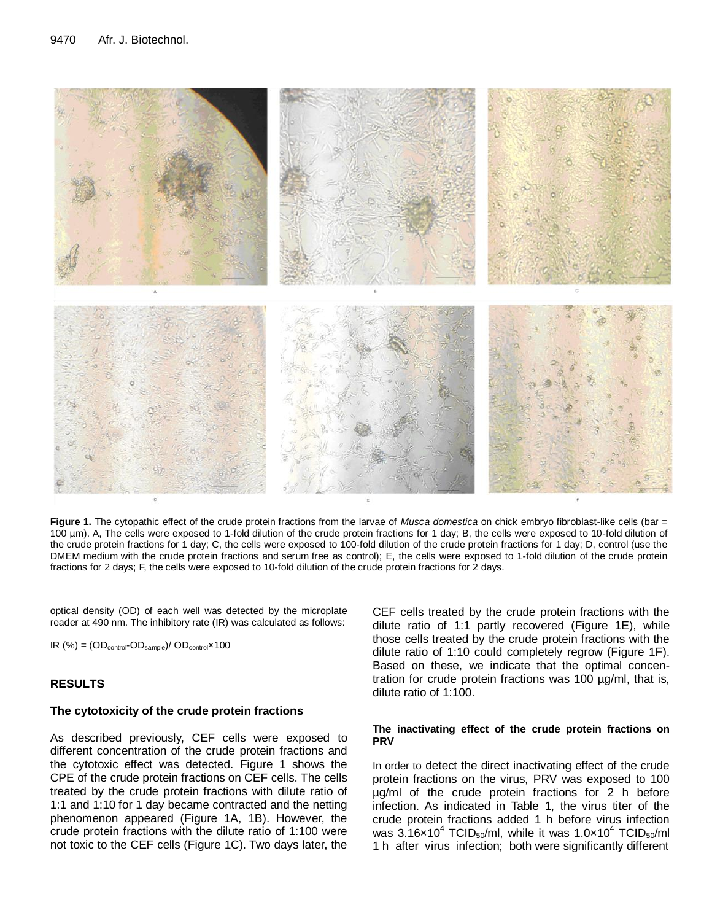

**Figure 1.** The cytopathic effect of the crude protein fractions from the larvae of *Musca domestica* on chick embryo fibroblast-like cells (bar = 100 µm). A, The cells were exposed to 1-fold dilution of the crude protein fractions for 1 day; B, the cells were exposed to 10-fold dilution of the crude protein fractions for 1 day; C, the cells were exposed to 100-fold dilution of the crude protein fractions for 1 day; D, control (use the DMEM medium with the crude protein fractions and serum free as control); E, the cells were exposed to 1-fold dilution of the crude protein fractions for 2 days; F, the cells were exposed to 10-fold dilution of the crude protein fractions for 2 days.

optical density (OD) of each well was detected by the microplate reader at 490 nm. The inhibitory rate (IR) was calculated as follows:

 $IR (%) = (OD_{control} \neg OD_{sample}) / OD_{control} \times 100$ 

## **RESULTS**

## **The cytotoxicity of the crude protein fractions**

As described previously, CEF cells were exposed to different concentration of the crude protein fractions and the cytotoxic effect was detected. Figure 1 shows the CPE of the crude protein fractions on CEF cells. The cells treated by the crude protein fractions with dilute ratio of 1:1 and 1:10 for 1 day became contracted and the netting phenomenon appeared (Figure 1A, 1B). However, the crude protein fractions with the dilute ratio of 1:100 were not toxic to the CEF cells (Figure 1C). Two days later, the CEF cells treated by the crude protein fractions with the dilute ratio of 1:1 partly recovered (Figure 1E), while those cells treated by the crude protein fractions with the dilute ratio of 1:10 could completely regrow (Figure 1F). Based on these, we indicate that the optimal concentration for crude protein fractions was 100 µg/ml, that is, dilute ratio of 1:100.

## **The inactivating effect of the crude protein fractions on PRV**

In order to detect the direct inactivating effect of the crude protein fractions on the virus, PRV was exposed to 100 µg/ml of the crude protein fractions for 2 h before infection. As indicated in Table 1, the virus titer of the crude protein fractions added 1 h before virus infection was 3.16×10 $^4$  TCID<sub>50</sub>/ml, while it was 1.0×10 $^4$  TCID<sub>50</sub>/ml 1 h after virus infection; both were significantly different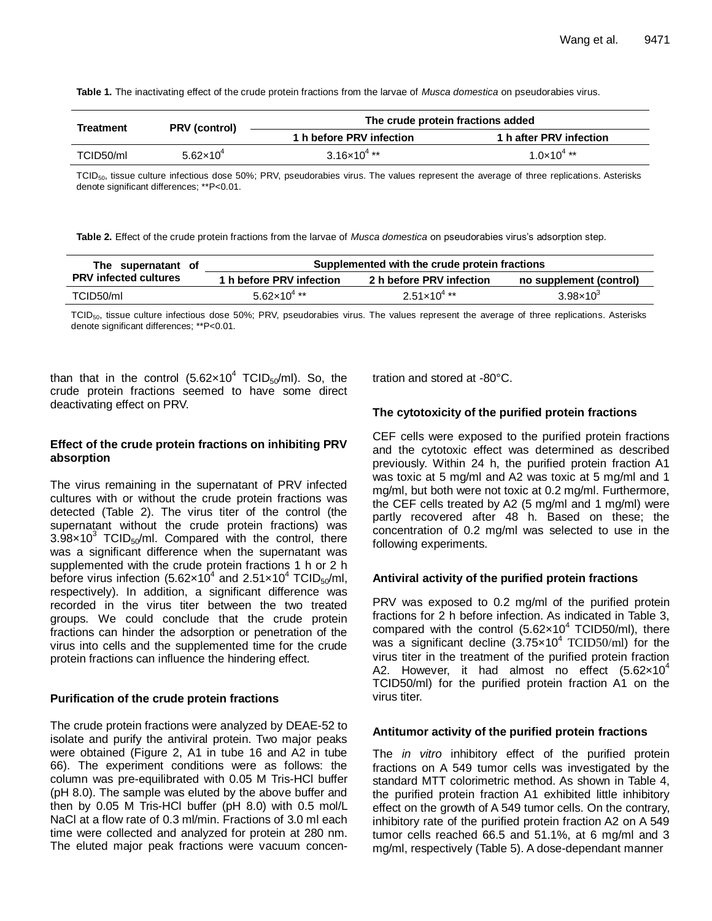**Table 1.** The inactivating effect of the crude protein fractions from the larvae of *Musca domestica* on pseudorabies virus.

| <b>Treatment</b> | <b>PRV</b> (control)          | The crude protein fractions added |                         |  |  |  |
|------------------|-------------------------------|-----------------------------------|-------------------------|--|--|--|
|                  |                               | 1 h before PRV infection          | 1 h after PRV infection |  |  |  |
| TCID50/ml        | 5.62 $\times$ 10 <sup>4</sup> | $3.16\times10^{4}$ **             | $1.0 \times 10^{4}$ **  |  |  |  |

TCID<sub>50</sub>, tissue culture infectious dose 50%; PRV, pseudorabies virus. The values represent the average of three replications. Asterisks denote significant differences; \*\*P<0.01.

**Table 2.** Effect of the crude protein fractions from the larvae of *Musca domestica* on pseudorabies virus's adsorption step.

| The supernatant of           | Supplemented with the crude protein fractions |                          |                         |  |  |  |  |
|------------------------------|-----------------------------------------------|--------------------------|-------------------------|--|--|--|--|
| <b>PRV infected cultures</b> | 1 h before PRV infection                      | 2 h before PRV infection | no supplement (control) |  |  |  |  |
| TCID50/ml                    | $5.62 \times 10^{4}$ **                       | $2.51 \times 10^{4}$ **  | $3.98 \times 10^{3}$    |  |  |  |  |

TCID<sub>50</sub>, tissue culture infectious dose 50%; PRV, pseudorabies virus. The values represent the average of three replications. Asterisks denote significant differences; \*\*P<0.01.

than that in the control  $(5.62 \times 10^4 \text{ TCID}_{50}/\text{ml})$ . So, the crude protein fractions seemed to have some direct deactivating effect on PRV.

# **Effect of the crude protein fractions on inhibiting PRV absorption**

The virus remaining in the supernatant of PRV infected cultures with or without the crude protein fractions was detected (Table 2). The virus titer of the control (the supernatant without the crude protein fractions) was  $3.98\times10^3$  TCID<sub>50</sub>/ml. Compared with the control, there was a significant difference when the supernatant was supplemented with the crude protein fractions 1 h or 2 h before virus infection (5.62 $\times$ 10<sup>4</sup> and 2.51 $\times$ 10<sup>4</sup> TCID<sub>50</sub>/ml, respectively). In addition, a significant difference was recorded in the virus titer between the two treated groups. We could conclude that the crude protein fractions can hinder the adsorption or penetration of the virus into cells and the supplemented time for the crude protein fractions can influence the hindering effect.

## **Purification of the crude protein fractions**

The crude protein fractions were analyzed by DEAE-52 to isolate and purify the antiviral protein. Two major peaks were obtained (Figure 2, A1 in tube 16 and A2 in tube 66). The experiment conditions were as follows: the column was pre-equilibrated with 0.05 M Tris-HCl buffer (pH 8.0). The sample was eluted by the above buffer and then by 0.05 M Tris-HCl buffer (pH 8.0) with 0.5 mol/L NaCl at a flow rate of 0.3 ml/min. Fractions of 3.0 ml each time were collected and analyzed for protein at 280 nm. The eluted major peak fractions were vacuum concentration and stored at -80°C.

# **The cytotoxicity of the purified protein fractions**

CEF cells were exposed to the purified protein fractions and the cytotoxic effect was determined as described previously. Within 24 h, the purified protein fraction A1 was toxic at 5 mg/ml and A2 was toxic at 5 mg/ml and 1 mg/ml, but both were not toxic at 0.2 mg/ml. Furthermore, the CEF cells treated by A2 (5 mg/ml and 1 mg/ml) were partly recovered after 48 h. Based on these; the concentration of 0.2 mg/ml was selected to use in the following experiments.

# **Antiviral activity of the purified protein fractions**

PRV was exposed to 0.2 mg/ml of the purified protein fractions for 2 h before infection. As indicated in Table 3, compared with the control  $(5.62 \times 10^4 \text{ TCID}50/\text{ml})$ , there was a significant decline  $(3.75\times10^{4} \text{ TCID50/ml})$  for the virus titer in the treatment of the purified protein fraction A2. However, it had almost no effect  $(5.62 \times 10^4$ TCID50/ml) for the purified protein fraction A1 on the virus titer.

## **Antitumor activity of the purified protein fractions**

The *in vitro* inhibitory effect of the purified protein fractions on A 549 tumor cells was investigated by the standard MTT colorimetric method. As shown in Table 4, the purified protein fraction A1 exhibited little inhibitory effect on the growth of A 549 tumor cells. On the contrary, inhibitory rate of the purified protein fraction A2 on A 549 tumor cells reached 66.5 and 51.1%, at 6 mg/ml and 3 mg/ml, respectively (Table 5). A dose-dependant manner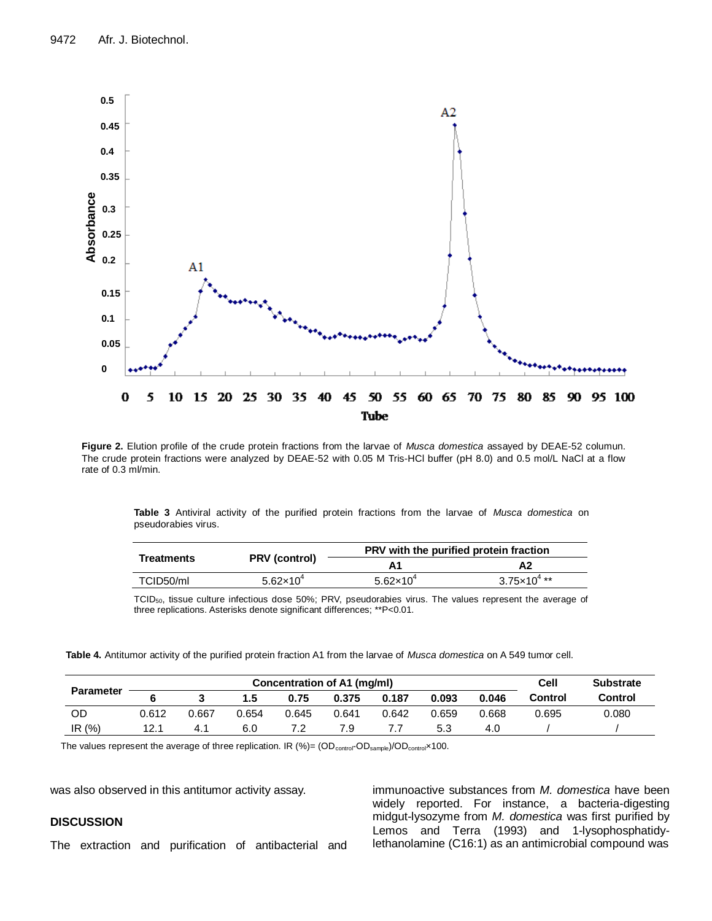

**Figure 2.** Elution profile of the crude protein fractions from the larvae of *Musca domestica* assayed by DEAE-52 columun. The crude protein fractions were analyzed by DEAE-52 with 0.05 M Tris-HCl buffer (pH 8.0) and 0.5 mol/L NaCl at a flow rate of 0.3 ml/min.

**Table 3** Antiviral activity of the purified protein fractions from the larvae of *Musca domestica* on pseudorabies virus.

|                   |                               | PRV with the purified protein fraction |                       |  |  |  |
|-------------------|-------------------------------|----------------------------------------|-----------------------|--|--|--|
| <b>Treatments</b> | <b>PRV</b> (control)          |                                        | Α2                    |  |  |  |
| TCID50/ml         | 5.62 $\times$ 10 <sup>4</sup> | $5.62 \times 10^{4}$                   | $3.75\times10^{4}$ ** |  |  |  |

TCID50, tissue culture infectious dose 50%; PRV, pseudorabies virus. The values represent the average of three replications. Asterisks denote significant differences; \*\*P<0.01.

**Table 4.** Antitumor activity of the purified protein fraction A1 from the larvae of *Musca domestica* on A 549 tumor cell.

| <b>Parameter</b> | Concentration of A1 (mg/ml) |       |       |       |       |       |       |       | Cell    | <b>Substrate</b> |
|------------------|-----------------------------|-------|-------|-------|-------|-------|-------|-------|---------|------------------|
|                  |                             |       | 1.5   | 0.75  | 0.375 | 0.187 | 0.093 | 0.046 | Control | Control          |
| OD               | 0.612                       | 0.667 | 0.654 | 0.645 | 0.641 | 0.642 | 0.659 | 0.668 | 0.695   | 0.080            |
| IR $(%)$         | 12.1                        |       | 6.0   |       | 7.9   |       | 5.3   | 4.0   |         |                  |

The values represent the average of three replication. IR (%)= (OD<sub>control</sub>-OD<sub>sample</sub>)/OD<sub>control</sub>×100.

was also observed in this antitumor activity assay.

# **DISCUSSION**

The extraction and purification of antibacterial and

immunoactive substances from *M. domestica* have been widely reported. For instance, a bacteria-digesting midgut-lysozyme from *M. domestica* was first purified by Lemos and Terra (1993) and 1-lysophosphatidylethanolamine (C16:1) as an antimicrobial compound was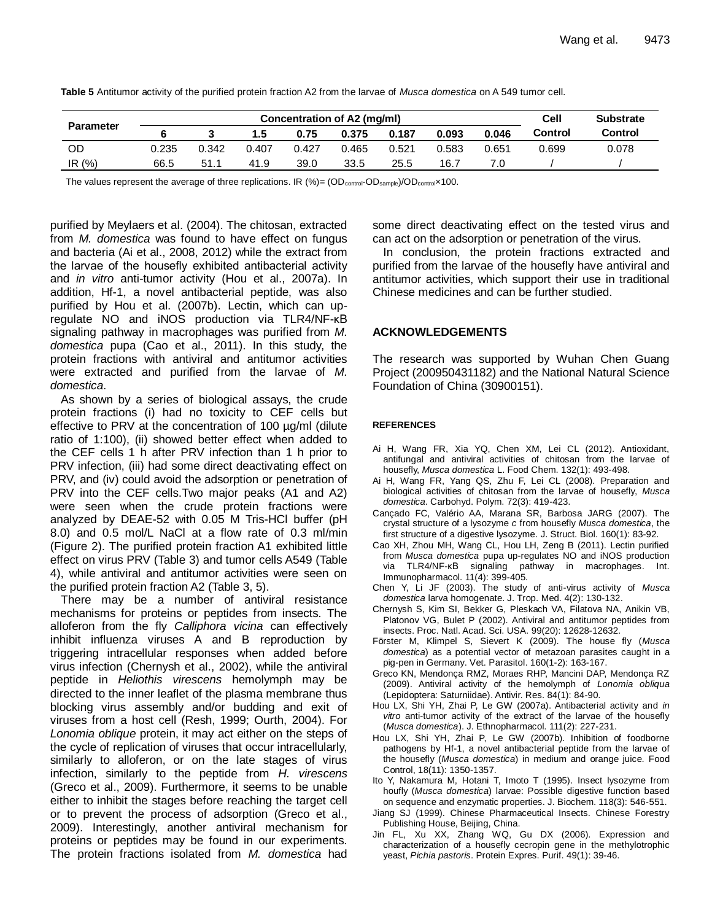| Table 5 Antitumor activity of the purified protein fraction A2 from the larvae of Musca domestica on A 549 tumor cell. |  |
|------------------------------------------------------------------------------------------------------------------------|--|
|------------------------------------------------------------------------------------------------------------------------|--|

| <b>Parameter</b> | Concentration of A2 (mg/ml) |       |       |       |       |       |       |       | Cell    | <b>Substrate</b> |
|------------------|-----------------------------|-------|-------|-------|-------|-------|-------|-------|---------|------------------|
|                  |                             |       | 1.5   | 0.75  | 0.375 | 0.187 | 0.093 | 0.046 | Control | Control          |
| OD               | 0.235                       | 0.342 | 0.407 | 0.427 | 0.465 | 0.521 | 0.583 | 0.651 | 0.699   | 0.078            |
| IR $(%)$         | 66.5                        | 51.1  | 41.9  | 39.0  | 33.5  | 25.5  | 16.7  |       |         |                  |

The values represent the average of three replications. IR  $(\%)=$  (OD<sub>control</sub>-OD<sub>sample</sub>)/OD<sub>control</sub>×100.

purified by Meylaers et al. (2004). The chitosan, extracted from *M. domestica* was found to have effect on fungus and bacteria (Ai et al., 2008, 2012) while the extract from the larvae of the housefly exhibited antibacterial activity and *in vitro* anti-tumor activity (Hou et al., 2007a). In addition, Hf-1, a novel antibacterial peptide, was also purified by Hou et al. (2007b). Lectin, which can upregulate NO and iNOS production via TLR4/NF-κB signaling pathway in macrophages was purified from *M. domestica* pupa (Cao et al., 2011). In this study, the protein fractions with antiviral and antitumor activities were extracted and purified from the larvae of *M. domestica*.

As shown by a series of biological assays, the crude protein fractions (i) had no toxicity to CEF cells but effective to PRV at the concentration of 100 µg/ml (dilute ratio of 1:100), (ii) showed better effect when added to the CEF cells 1 h after PRV infection than 1 h prior to PRV infection, (iii) had some direct deactivating effect on PRV, and (iv) could avoid the adsorption or penetration of PRV into the CEF cells.Two major peaks (A1 and A2) were seen when the crude protein fractions were analyzed by DEAE-52 with 0.05 M Tris-HCl buffer (pH 8.0) and 0.5 mol/L NaCl at a flow rate of 0.3 ml/min (Figure 2). The purified protein fraction A1 exhibited little effect on virus PRV (Table 3) and tumor cells A549 (Table 4), while antiviral and antitumor activities were seen on the purified protein fraction A2 (Table 3, 5).

There may be a number of antiviral resistance mechanisms for proteins or peptides from insects. The alloferon from the fly *Calliphora vicina* can effectively inhibit influenza viruses A and B reproduction by triggering intracellular responses when added before virus infection (Chernysh et al., 2002), while the antiviral peptide in *Heliothis virescens* hemolymph may be directed to the inner leaflet of the plasma membrane thus blocking virus assembly and/or budding and exit of viruses from a host cell (Resh, 1999; Ourth, 2004). For *Lonomia oblique* protein, it may act either on the steps of the cycle of replication of viruses that occur intracellularly, similarly to alloferon, or on the late stages of virus infection, similarly to the peptide from *H. virescens* (Greco et al., 2009). Furthermore, it seems to be unable either to inhibit the stages before reaching the target cell or to prevent the process of adsorption (Greco et al., 2009). Interestingly, another antiviral mechanism for proteins or peptides may be found in our experiments. The protein fractions isolated from *M. domestica* had some direct deactivating effect on the tested virus and can act on the adsorption or penetration of the virus.

In conclusion, the protein fractions extracted and purified from the larvae of the housefly have antiviral and antitumor activities, which support their use in traditional Chinese medicines and can be further studied.

## **ACKNOWLEDGEMENTS**

The research was supported by Wuhan Chen Guang Project (200950431182) and the National Natural Science Foundation of China (30900151).

## **REFERENCES**

- Ai H, Wang FR, Xia YQ, Chen XM, Lei CL (2012). Antioxidant, antifungal and antiviral activities of chitosan from the larvae of housefly, *Musca domestica* L. Food Chem. 132(1): 493-498.
- Ai H, Wang FR, Yang QS, Zhu F, Lei CL (2008). Preparation and biological activities of chitosan from the larvae of housefly, *Musca domestica*. Carbohyd. Polym. 72(3): 419-423.
- Cançado FC, Valério AA, Marana SR, Barbosa JARG (2007). The crystal structure of a lysozyme *c* from housefly *Musca domestica*, the first structure of a digestive lysozyme. J. Struct. Biol. 160(1): 83-92.
- Cao XH, Zhou MH, Wang CL, Hou LH, Zeng B (2011). Lectin purified from *Musca domestica* pupa up-regulates NO and iNOS production via TLR4/NF-κB signaling pathway in macrophages. Int. Immunopharmacol. 11(4): 399-405.
- Chen Y, Li JF (2003). The study of anti-virus activity of *Musca domestica* larva homogenate. J. Trop. Med. 4(2): 130-132.
- Chernysh S, Kim SI, Bekker G, Pleskach VA, Filatova NA, Anikin VB, Platonov VG, Bulet P (2002). Antiviral and antitumor peptides from insects. Proc. Natl. Acad. Sci. USA. 99(20): 12628-12632.
- Förster M, Klimpel S, Sievert K (2009). The house fly (*Musca domestica*) as a potential vector of metazoan parasites caught in a pig-pen in Germany. Vet. Parasitol. 160(1-2): 163-167.
- Greco KN, Mendonça RMZ, Moraes RHP, Mancini DAP, Mendonça RZ (2009). Antiviral activity of the hemolymph of *Lonomia obliqua* (Lepidoptera: Saturniidae). Antivir. Res. 84(1): 84-90.
- Hou LX, Shi YH, Zhai P, Le GW (2007a). Antibacterial activity and *in vitro* anti-tumor activity of the extract of the larvae of the housefly (*Musca domestica*). J. Ethnopharmacol. 111(2): 227-231.
- Hou LX, Shi YH, Zhai P, Le GW (2007b). Inhibition of foodborne pathogens by Hf-1, a novel antibacterial peptide from the larvae of the housefly (*Musca domestica*) in medium and orange juice. Food Control, 18(11): 1350-1357.
- Ito Y, Nakamura M, Hotani T, Imoto T (1995). Insect lysozyme from houfly (*Musca domestica*) larvae: Possible digestive function based on sequence and enzymatic properties. J. Biochem. 118(3): 546-551.
- Jiang SJ (1999). Chinese Pharmaceutical Insects. Chinese Forestry Publishing House, Beijing, China.
- Jin FL, Xu XX, Zhang WQ, Gu DX (2006). Expression and characterization of a housefly cecropin gene in the methylotrophic yeast, *Pichia pastoris*. Protein Expres. Purif. 49(1): 39-46.